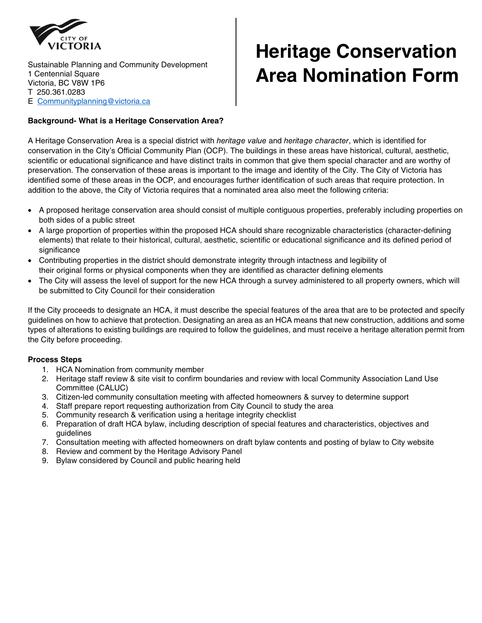

## **Heritage Conservation Area Nomination Form**

### **Background- What is a Heritage Conservation Area?**

A Heritage Conservation Area is a special district with *heritage value* and *heritage character*, which is identified for conservation in the City's Official Community Plan (OCP). The buildings in these areas have historical, cultural, aesthetic, scientific or educational significance and have distinct traits in common that give them special character and are worthy of preservation. The conservation of these areas is important to the image and identity of the City. The City of Victoria has identified some of these areas in the OCP, and encourages further identification of such areas that require protection. In addition to the above, the City of Victoria requires that a nominated area also meet the following criteria:

- A proposed heritage conservation area should consist of multiple contiguous properties, preferably including properties on both sides of a public street
- A large proportion of properties within the proposed HCA should share recognizable characteristics (character-defining elements) that relate to their historical, cultural, aesthetic, scientific or educational significance and its defined period of significance
- Contributing properties in the district should demonstrate integrity through intactness and legibility of their original forms or physical components when they are identified as character defining elements
- The City will assess the level of support for the new HCA through a survey administered to all property owners, which will be submitted to City Council for their consideration

If the City proceeds to designate an HCA, it must describe the special features of the area that are to be protected and specify guidelines on how to achieve that protection. Designating an area as an HCA means that new construction, additions and some types of alterations to existing buildings are required to follow the guidelines, and must receive a heritage alteration permit from the City before proceeding.

### **Process Steps**

- 1. HCA Nomination from community member
- 2. Heritage staff review & site visit to confirm boundaries and review with local Community Association Land Use Committee (CALUC)
- 3. Citizen-led community consultation meeting with affected homeowners & survey to determine support
- 4. Staff prepare report requesting authorization from City Council to study the area
- 5. Community research & verification using a heritage integrity checklist
- 6. Preparation of draft HCA bylaw, including description of special features and characteristics, objectives and guidelines
- 7. Consultation meeting with affected homeowners on draft bylaw contents and posting of bylaw to City website
- 8. Review and comment by the Heritage Advisory Panel
- 9. Bylaw considered by Council and public hearing held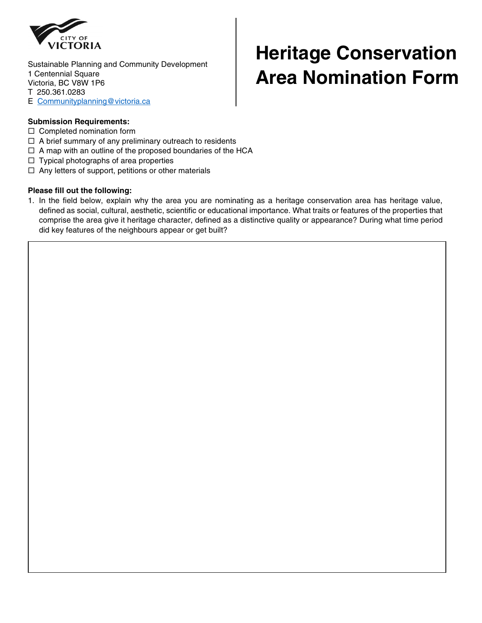

# **Heritage Conservation Area Nomination Form**

### **Submission Requirements:**

- $\square$  Completed nomination form
- $\Box$  A brief summary of any preliminary outreach to residents
- $\Box$  A map with an outline of the proposed boundaries of the HCA
- $\Box$  Typical photographs of area properties
- $\Box$  Any letters of support, petitions or other materials

#### **Please fill out the following:**

1. In the field below, explain why the area you are nominating as a heritage conservation area has heritage value, defined as social, cultural, aesthetic, scientific or educational importance. What traits or features of the properties that comprise the area give it heritage character, defined as a distinctive quality or appearance? During what time period did key features of the neighbours appear or get built?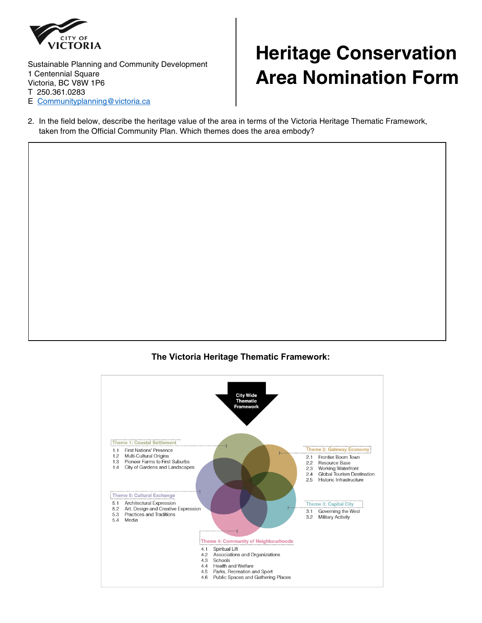

## **Heritage Conservation Area Nomination Form**

2. In the field below, describe the heritage value of the area in terms of the Victoria Heritage Thematic Framework, taken from the Official Community Plan. Which themes does the area embody?

### **The Victoria Heritage Thematic Framework:**